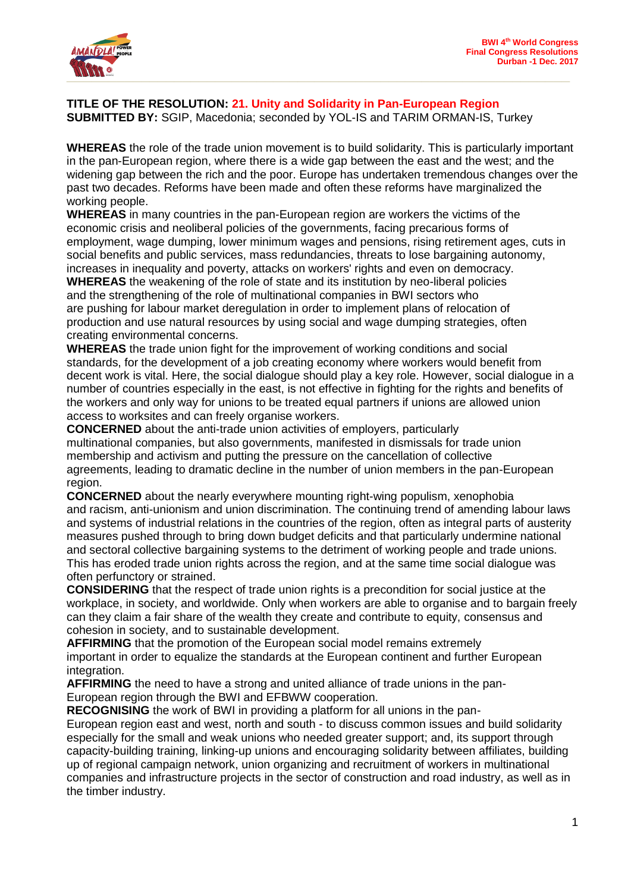

## **TITLE OF THE RESOLUTION: 21. Unity and Solidarity in Pan-European Region SUBMITTED BY:** SGIP, Macedonia; seconded by YOL-IS and TARIM ORMAN-IS, Turkey

**WHEREAS** the role of the trade union movement is to build solidarity. This is particularly important in the pan-European region, where there is a wide gap between the east and the west; and the widening gap between the rich and the poor. Europe has undertaken tremendous changes over the past two decades. Reforms have been made and often these reforms have marginalized the working people.

**WHEREAS** in many countries in the pan-European region are workers the victims of the economic crisis and neoliberal policies of the governments, facing precarious forms of employment, wage dumping, lower minimum wages and pensions, rising retirement ages, cuts in social benefits and public services, mass redundancies, threats to lose bargaining autonomy, increases in inequality and poverty, attacks on workers' rights and even on democracy.

**WHEREAS** the weakening of the role of state and its institution by neo-liberal policies and the strengthening of the role of multinational companies in BWI sectors who are pushing for labour market deregulation in order to implement plans of relocation of production and use natural resources by using social and wage dumping strategies, often creating environmental concerns.

**WHEREAS** the trade union fight for the improvement of working conditions and social standards, for the development of a job creating economy where workers would benefit from decent work is vital. Here, the social dialogue should play a key role. However, social dialogue in a number of countries especially in the east, is not effective in fighting for the rights and benefits of the workers and only way for unions to be treated equal partners if unions are allowed union access to worksites and can freely organise workers.

**CONCERNED** about the anti-trade union activities of employers, particularly multinational companies, but also governments, manifested in dismissals for trade union membership and activism and putting the pressure on the cancellation of collective agreements, leading to dramatic decline in the number of union members in the pan-European region.

**CONCERNED** about the nearly everywhere mounting right-wing populism, xenophobia and racism, anti-unionism and union discrimination. The continuing trend of amending labour laws and systems of industrial relations in the countries of the region, often as integral parts of austerity measures pushed through to bring down budget deficits and that particularly undermine national and sectoral collective bargaining systems to the detriment of working people and trade unions. This has eroded trade union rights across the region, and at the same time social dialogue was often perfunctory or strained.

**CONSIDERING** that the respect of trade union rights is a precondition for social justice at the workplace, in society, and worldwide. Only when workers are able to organise and to bargain freely can they claim a fair share of the wealth they create and contribute to equity, consensus and cohesion in society, and to sustainable development.

**AFFIRMING** that the promotion of the European social model remains extremely important in order to equalize the standards at the European continent and further European integration.

**AFFIRMING** the need to have a strong and united alliance of trade unions in the pan-European region through the BWI and EFBWW cooperation.

**RECOGNISING** the work of BWI in providing a platform for all unions in the pan-

European region east and west, north and south - to discuss common issues and build solidarity especially for the small and weak unions who needed greater support; and, its support through capacity-building training, linking-up unions and encouraging solidarity between affiliates, building up of regional campaign network, union organizing and recruitment of workers in multinational companies and infrastructure projects in the sector of construction and road industry, as well as in the timber industry.